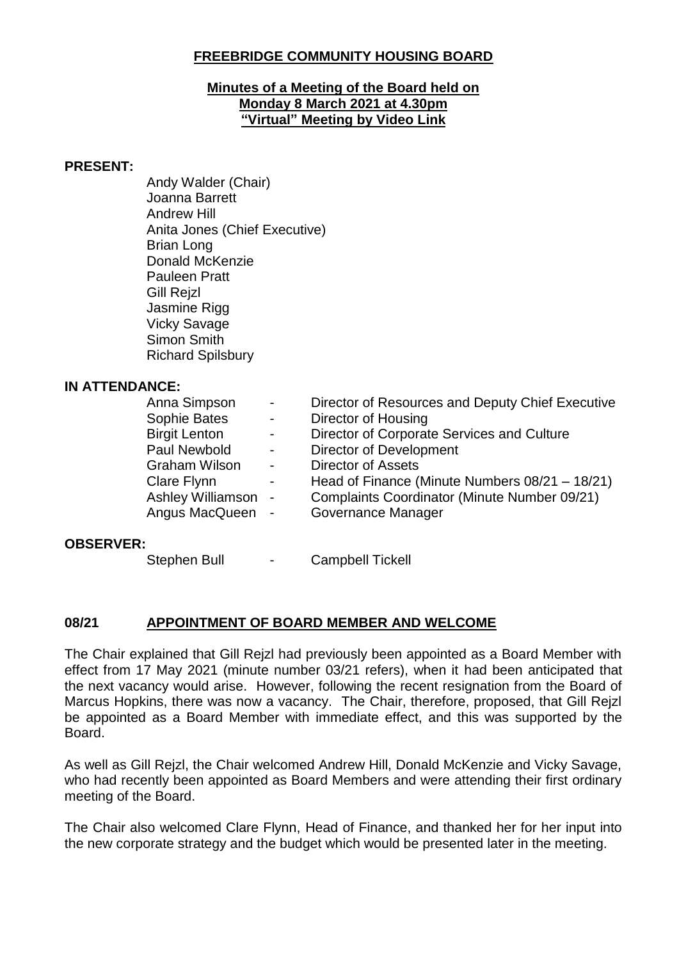### **FREEBRIDGE COMMUNITY HOUSING BOARD**

#### **Minutes of a Meeting of the Board held on Monday 8 March 2021 at 4.30pm "Virtual" Meeting by Video Link**

#### **PRESENT:**

Andy Walder (Chair) Joanna Barrett Andrew Hill Anita Jones (Chief Executive) Brian Long Donald McKenzie Pauleen Pratt Gill Rejzl Jasmine Rigg Vicky Savage Simon Smith Richard Spilsbury

#### **IN ATTENDANCE:**

|                          | Director of Resources and Deputy Chief Executive            |
|--------------------------|-------------------------------------------------------------|
| $\blacksquare$           | Director of Housing                                         |
| $\overline{\phantom{a}}$ | Director of Corporate Services and Culture                  |
| $\sim$                   | <b>Director of Development</b>                              |
|                          | <b>Director of Assets</b>                                   |
| $\blacksquare$           | Head of Finance (Minute Numbers $08/21 - 18/21$ )           |
|                          | Complaints Coordinator (Minute Number 09/21)                |
|                          | Governance Manager                                          |
|                          | $\sim$<br>$\sim$<br>Ashley Williamson -<br>Angus MacQueen - |

#### **OBSERVER:**

Stephen Bull - Campbell Tickell

### **08/21 APPOINTMENT OF BOARD MEMBER AND WELCOME**

The Chair explained that Gill Rejzl had previously been appointed as a Board Member with effect from 17 May 2021 (minute number 03/21 refers), when it had been anticipated that the next vacancy would arise. However, following the recent resignation from the Board of Marcus Hopkins, there was now a vacancy. The Chair, therefore, proposed, that Gill Rejzl be appointed as a Board Member with immediate effect, and this was supported by the Board.

As well as Gill Rejzl, the Chair welcomed Andrew Hill, Donald McKenzie and Vicky Savage, who had recently been appointed as Board Members and were attending their first ordinary meeting of the Board.

The Chair also welcomed Clare Flynn, Head of Finance, and thanked her for her input into the new corporate strategy and the budget which would be presented later in the meeting.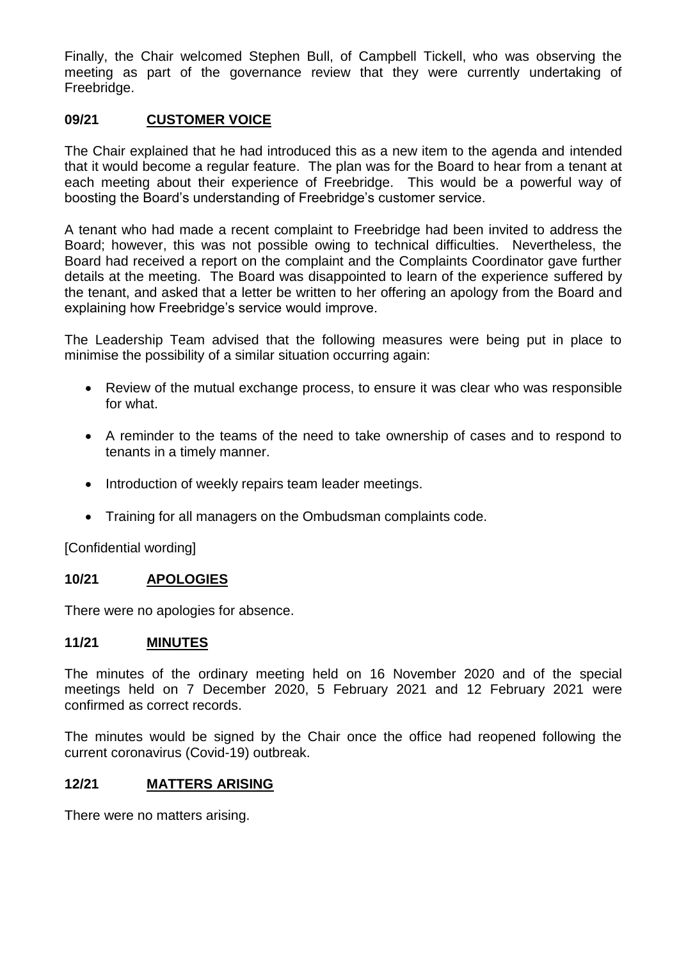Finally, the Chair welcomed Stephen Bull, of Campbell Tickell, who was observing the meeting as part of the governance review that they were currently undertaking of Freebridge.

### **09/21 CUSTOMER VOICE**

The Chair explained that he had introduced this as a new item to the agenda and intended that it would become a regular feature. The plan was for the Board to hear from a tenant at each meeting about their experience of Freebridge. This would be a powerful way of boosting the Board's understanding of Freebridge's customer service.

A tenant who had made a recent complaint to Freebridge had been invited to address the Board; however, this was not possible owing to technical difficulties. Nevertheless, the Board had received a report on the complaint and the Complaints Coordinator gave further details at the meeting. The Board was disappointed to learn of the experience suffered by the tenant, and asked that a letter be written to her offering an apology from the Board and explaining how Freebridge's service would improve.

The Leadership Team advised that the following measures were being put in place to minimise the possibility of a similar situation occurring again:

- Review of the mutual exchange process, to ensure it was clear who was responsible for what.
- A reminder to the teams of the need to take ownership of cases and to respond to tenants in a timely manner.
- Introduction of weekly repairs team leader meetings.
- Training for all managers on the Ombudsman complaints code.

[Confidential wording]

### **10/21 APOLOGIES**

There were no apologies for absence.

#### **11/21 MINUTES**

The minutes of the ordinary meeting held on 16 November 2020 and of the special meetings held on 7 December 2020, 5 February 2021 and 12 February 2021 were confirmed as correct records.

The minutes would be signed by the Chair once the office had reopened following the current coronavirus (Covid-19) outbreak.

### **12/21 MATTERS ARISING**

There were no matters arising.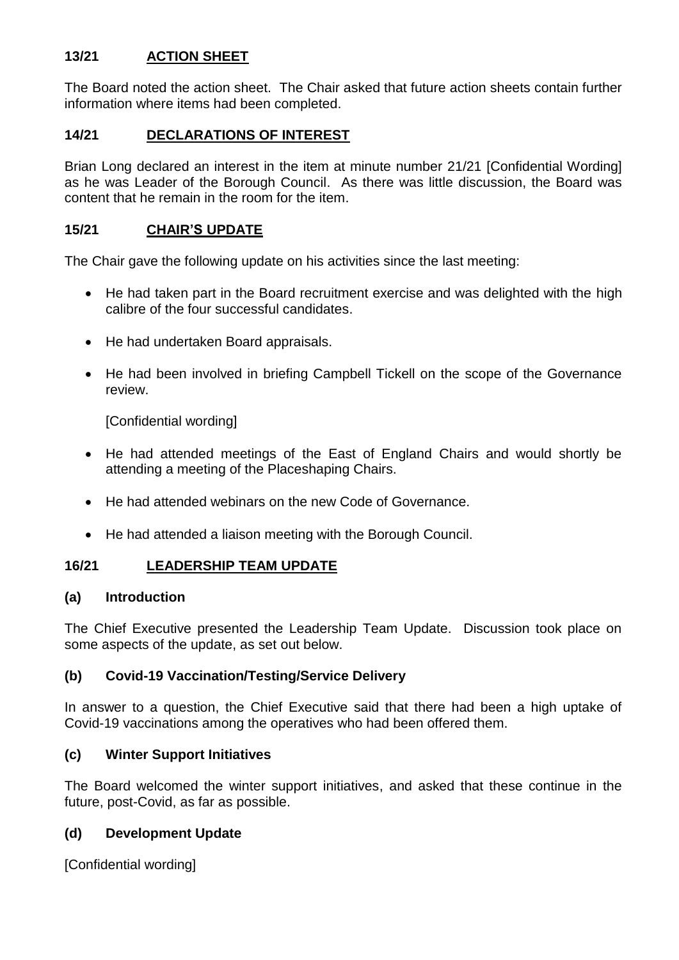# **13/21 ACTION SHEET**

The Board noted the action sheet. The Chair asked that future action sheets contain further information where items had been completed.

## **14/21 DECLARATIONS OF INTEREST**

Brian Long declared an interest in the item at minute number 21/21 [Confidential Wording] as he was Leader of the Borough Council. As there was little discussion, the Board was content that he remain in the room for the item.

## **15/21 CHAIR'S UPDATE**

The Chair gave the following update on his activities since the last meeting:

- He had taken part in the Board recruitment exercise and was delighted with the high calibre of the four successful candidates.
- He had undertaken Board appraisals.
- He had been involved in briefing Campbell Tickell on the scope of the Governance review.

[Confidential wording]

- He had attended meetings of the East of England Chairs and would shortly be attending a meeting of the Placeshaping Chairs.
- He had attended webinars on the new Code of Governance.
- He had attended a liaison meeting with the Borough Council.

### **16/21 LEADERSHIP TEAM UPDATE**

#### **(a) Introduction**

The Chief Executive presented the Leadership Team Update. Discussion took place on some aspects of the update, as set out below.

### **(b) Covid-19 Vaccination/Testing/Service Delivery**

In answer to a question, the Chief Executive said that there had been a high uptake of Covid-19 vaccinations among the operatives who had been offered them.

### **(c) Winter Support Initiatives**

The Board welcomed the winter support initiatives, and asked that these continue in the future, post-Covid, as far as possible.

### **(d) Development Update**

[Confidential wording]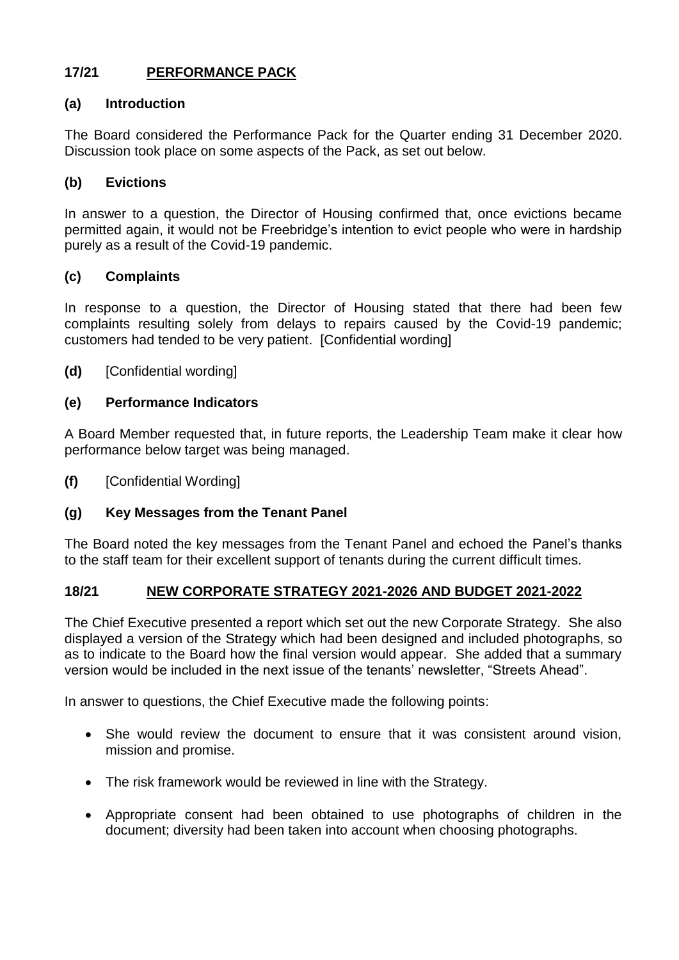# **17/21 PERFORMANCE PACK**

## **(a) Introduction**

The Board considered the Performance Pack for the Quarter ending 31 December 2020. Discussion took place on some aspects of the Pack, as set out below.

## **(b) Evictions**

In answer to a question, the Director of Housing confirmed that, once evictions became permitted again, it would not be Freebridge's intention to evict people who were in hardship purely as a result of the Covid-19 pandemic.

## **(c) Complaints**

In response to a question, the Director of Housing stated that there had been few complaints resulting solely from delays to repairs caused by the Covid-19 pandemic; customers had tended to be very patient. [Confidential wording]

**(d)** [Confidential wording]

## **(e) Performance Indicators**

A Board Member requested that, in future reports, the Leadership Team make it clear how performance below target was being managed.

**(f)** [Confidential Wording]

# **(g) Key Messages from the Tenant Panel**

The Board noted the key messages from the Tenant Panel and echoed the Panel's thanks to the staff team for their excellent support of tenants during the current difficult times.

### **18/21 NEW CORPORATE STRATEGY 2021-2026 AND BUDGET 2021-2022**

The Chief Executive presented a report which set out the new Corporate Strategy. She also displayed a version of the Strategy which had been designed and included photographs, so as to indicate to the Board how the final version would appear. She added that a summary version would be included in the next issue of the tenants' newsletter, "Streets Ahead".

In answer to questions, the Chief Executive made the following points:

- She would review the document to ensure that it was consistent around vision, mission and promise.
- The risk framework would be reviewed in line with the Strategy.
- Appropriate consent had been obtained to use photographs of children in the document; diversity had been taken into account when choosing photographs.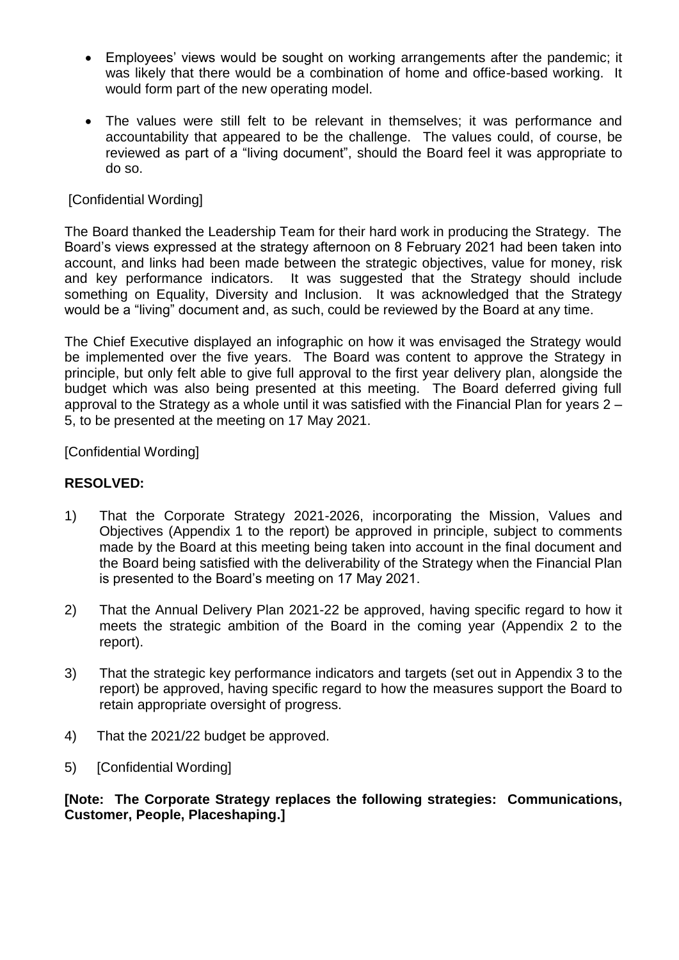- Employees' views would be sought on working arrangements after the pandemic; it was likely that there would be a combination of home and office-based working. It would form part of the new operating model.
- The values were still felt to be relevant in themselves; it was performance and accountability that appeared to be the challenge. The values could, of course, be reviewed as part of a "living document", should the Board feel it was appropriate to do so.

## [Confidential Wording]

The Board thanked the Leadership Team for their hard work in producing the Strategy. The Board's views expressed at the strategy afternoon on 8 February 2021 had been taken into account, and links had been made between the strategic objectives, value for money, risk and key performance indicators. It was suggested that the Strategy should include something on Equality, Diversity and Inclusion. It was acknowledged that the Strategy would be a "living" document and, as such, could be reviewed by the Board at any time.

The Chief Executive displayed an infographic on how it was envisaged the Strategy would be implemented over the five years. The Board was content to approve the Strategy in principle, but only felt able to give full approval to the first year delivery plan, alongside the budget which was also being presented at this meeting. The Board deferred giving full approval to the Strategy as a whole until it was satisfied with the Financial Plan for years 2 – 5, to be presented at the meeting on 17 May 2021.

[Confidential Wording]

## **RESOLVED:**

- 1) That the Corporate Strategy 2021-2026, incorporating the Mission, Values and Objectives (Appendix 1 to the report) be approved in principle, subject to comments made by the Board at this meeting being taken into account in the final document and the Board being satisfied with the deliverability of the Strategy when the Financial Plan is presented to the Board's meeting on 17 May 2021.
- 2) That the Annual Delivery Plan 2021-22 be approved, having specific regard to how it meets the strategic ambition of the Board in the coming year (Appendix 2 to the report).
- 3) That the strategic key performance indicators and targets (set out in Appendix 3 to the report) be approved, having specific regard to how the measures support the Board to retain appropriate oversight of progress.
- 4) That the 2021/22 budget be approved.
- 5) [Confidential Wording]

**[Note: The Corporate Strategy replaces the following strategies: Communications, Customer, People, Placeshaping.]**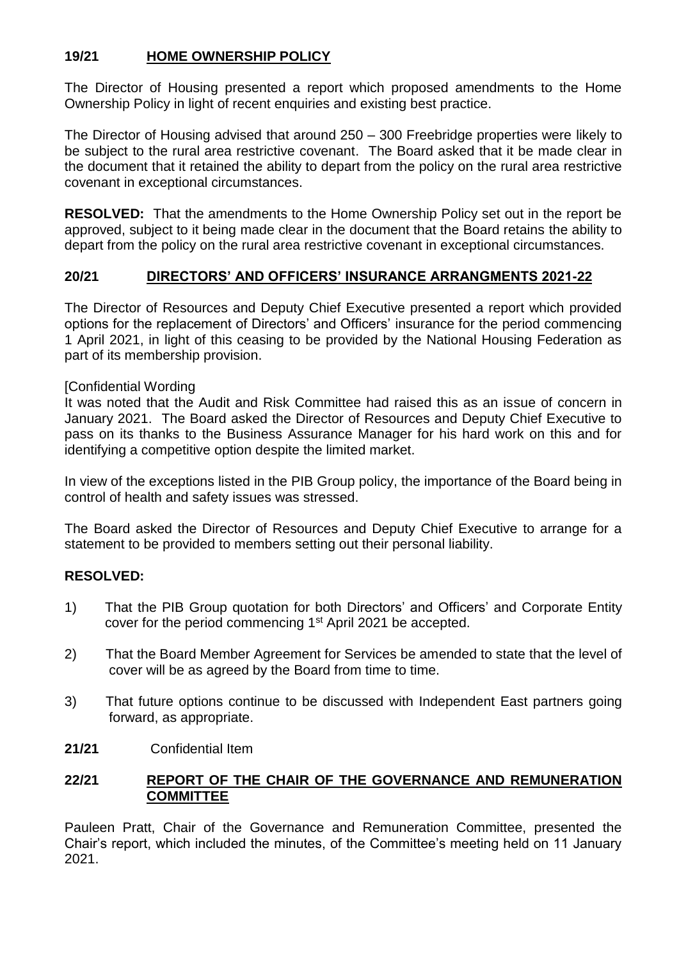# **19/21 HOME OWNERSHIP POLICY**

The Director of Housing presented a report which proposed amendments to the Home Ownership Policy in light of recent enquiries and existing best practice.

The Director of Housing advised that around 250 – 300 Freebridge properties were likely to be subject to the rural area restrictive covenant. The Board asked that it be made clear in the document that it retained the ability to depart from the policy on the rural area restrictive covenant in exceptional circumstances.

**RESOLVED:** That the amendments to the Home Ownership Policy set out in the report be approved, subject to it being made clear in the document that the Board retains the ability to depart from the policy on the rural area restrictive covenant in exceptional circumstances.

# **20/21 DIRECTORS' AND OFFICERS' INSURANCE ARRANGMENTS 2021-22**

The Director of Resources and Deputy Chief Executive presented a report which provided options for the replacement of Directors' and Officers' insurance for the period commencing 1 April 2021, in light of this ceasing to be provided by the National Housing Federation as part of its membership provision.

## [Confidential Wording

It was noted that the Audit and Risk Committee had raised this as an issue of concern in January 2021. The Board asked the Director of Resources and Deputy Chief Executive to pass on its thanks to the Business Assurance Manager for his hard work on this and for identifying a competitive option despite the limited market.

In view of the exceptions listed in the PIB Group policy, the importance of the Board being in control of health and safety issues was stressed.

The Board asked the Director of Resources and Deputy Chief Executive to arrange for a statement to be provided to members setting out their personal liability.

# **RESOLVED:**

- 1) That the PIB Group quotation for both Directors' and Officers' and Corporate Entity cover for the period commencing 1<sup>st</sup> April 2021 be accepted.
- 2) That the Board Member Agreement for Services be amended to state that the level of cover will be as agreed by the Board from time to time.
- 3) That future options continue to be discussed with Independent East partners going forward, as appropriate.
- **21/21** Confidential Item

# **22/21 REPORT OF THE CHAIR OF THE GOVERNANCE AND REMUNERATION COMMITTEE**

Pauleen Pratt, Chair of the Governance and Remuneration Committee, presented the Chair's report, which included the minutes, of the Committee's meeting held on 11 January 2021.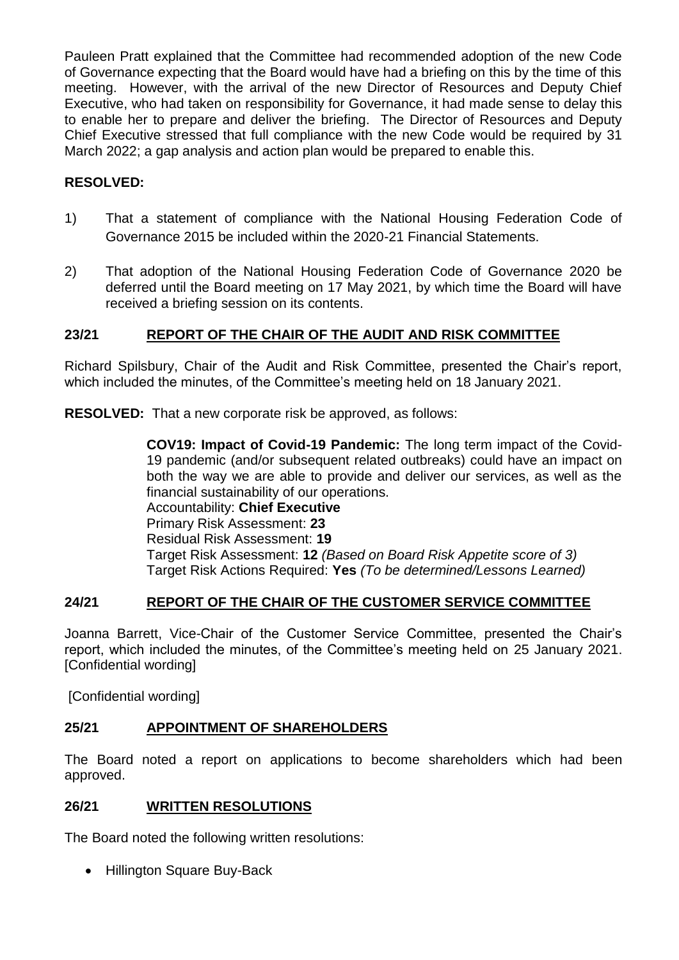Pauleen Pratt explained that the Committee had recommended adoption of the new Code of Governance expecting that the Board would have had a briefing on this by the time of this meeting. However, with the arrival of the new Director of Resources and Deputy Chief Executive, who had taken on responsibility for Governance, it had made sense to delay this to enable her to prepare and deliver the briefing. The Director of Resources and Deputy Chief Executive stressed that full compliance with the new Code would be required by 31 March 2022; a gap analysis and action plan would be prepared to enable this.

# **RESOLVED:**

- 1) That a statement of compliance with the National Housing Federation Code of Governance 2015 be included within the 2020-21 Financial Statements.
- 2) That adoption of the National Housing Federation Code of Governance 2020 be deferred until the Board meeting on 17 May 2021, by which time the Board will have received a briefing session on its contents.

# **23/21 REPORT OF THE CHAIR OF THE AUDIT AND RISK COMMITTEE**

Richard Spilsbury, Chair of the Audit and Risk Committee, presented the Chair's report, which included the minutes, of the Committee's meeting held on 18 January 2021.

**RESOLVED:** That a new corporate risk be approved, as follows:

**COV19: Impact of Covid-19 Pandemic:** The long term impact of the Covid-19 pandemic (and/or subsequent related outbreaks) could have an impact on both the way we are able to provide and deliver our services, as well as the financial sustainability of our operations. Accountability: **Chief Executive** Primary Risk Assessment: **23** Residual Risk Assessment: **19**  Target Risk Assessment: **12** *(Based on Board Risk Appetite score of 3)* Target Risk Actions Required: **Yes** *(To be determined/Lessons Learned)*

# **24/21 REPORT OF THE CHAIR OF THE CUSTOMER SERVICE COMMITTEE**

Joanna Barrett, Vice-Chair of the Customer Service Committee, presented the Chair's report, which included the minutes, of the Committee's meeting held on 25 January 2021. [Confidential wording]

[Confidential wording]

# **25/21 APPOINTMENT OF SHAREHOLDERS**

The Board noted a report on applications to become shareholders which had been approved.

### **26/21 WRITTEN RESOLUTIONS**

The Board noted the following written resolutions:

• Hillington Square Buy-Back